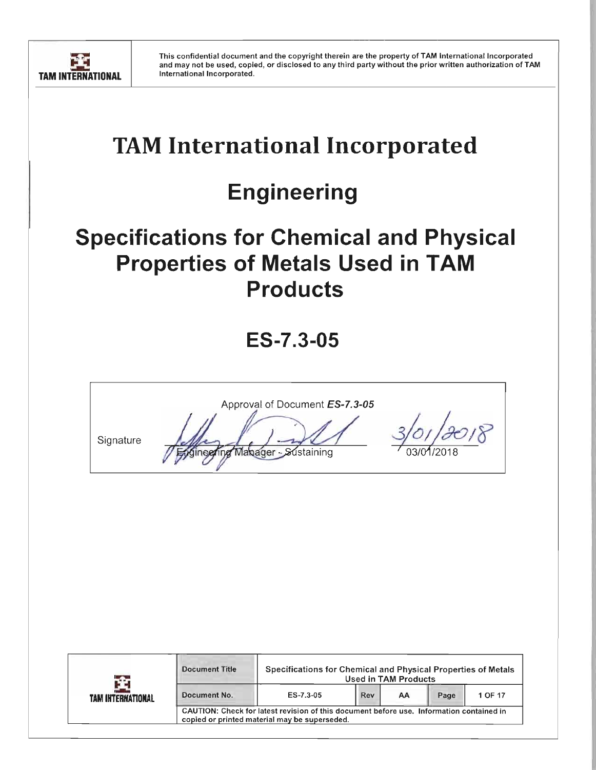

# **TAM International Incorporated**

# **Engineering**

# **Specifications for Chemical and Physical Properties of Metals Used in TAM Products**

**ES-7.3-05** 

Approval of Document ES-7.3-05 Signature Mabager -*S*∕ústaining

| TAM INTERNATIONAL | <b>Document Title</b>                                                                                                                     | Specifications for Chemical and Physical Properties of Metals<br>Used in TAM Products |                              |  |  |  |  |  |
|-------------------|-------------------------------------------------------------------------------------------------------------------------------------------|---------------------------------------------------------------------------------------|------------------------------|--|--|--|--|--|
|                   | Document No.                                                                                                                              | ES-7.3-05                                                                             | Rev<br>Page<br>1 OF 17<br>AΑ |  |  |  |  |  |
|                   | CAUTION: Check for latest revision of this document before use. Information contained in<br>copied or printed material may be superseded. |                                                                                       |                              |  |  |  |  |  |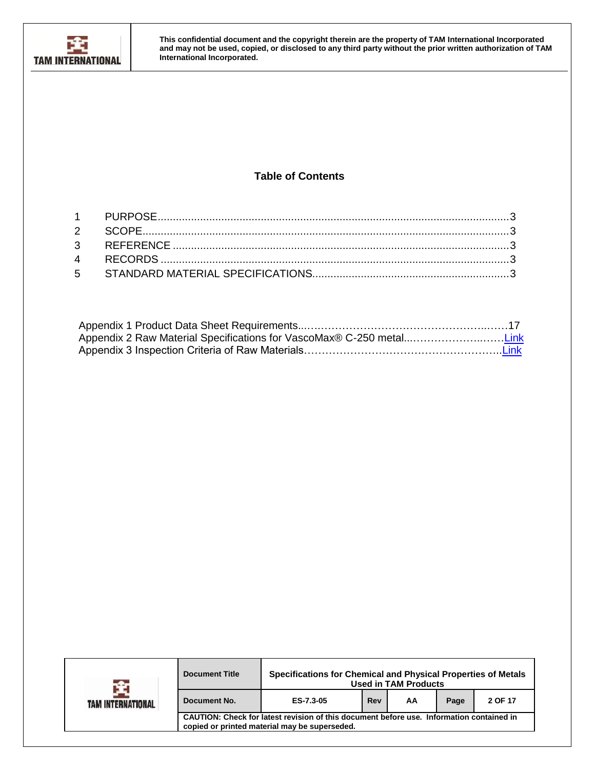

# **Table of Contents**

| Appendix 2 Raw Material Specifications for VascoMax® C-250 metalLink |  |
|----------------------------------------------------------------------|--|
|                                                                      |  |

| TAM INTERNATIONAL | Specifications for Chemical and Physical Properties of Metals<br><b>Document Title</b><br><b>Used in TAM Products</b>                     |           |     |    |      |         |  |  |  |
|-------------------|-------------------------------------------------------------------------------------------------------------------------------------------|-----------|-----|----|------|---------|--|--|--|
|                   | Document No.                                                                                                                              | ES-7.3-05 | Rev | AA | Page | 2 OF 17 |  |  |  |
|                   | CAUTION: Check for latest revision of this document before use. Information contained in<br>copied or printed material may be superseded. |           |     |    |      |         |  |  |  |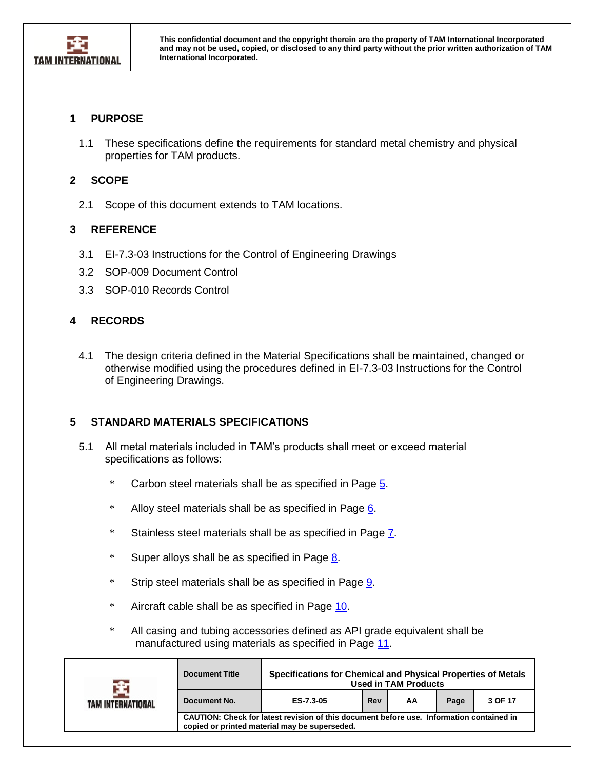

### <span id="page-2-0"></span>**1 PURPOSE**

1.1 These specifications define the requirements for standard metal chemistry and physical properties for TAM products.

### <span id="page-2-1"></span>**2 SCOPE**

2.1 Scope of this document extends to TAM locations.

## <span id="page-2-2"></span>**3 REFERENCE**

- 3.1 EI-7.3-03 Instructions for the Control of Engineering Drawings
- 3.2 SOP-009 Document Control
- 3.3 SOP-010 Records Control

## **4 RECORDS**

4.1 The design criteria defined in the Material Specifications shall be maintained, changed or otherwise modified using the procedures defined in EI-7.3-03 Instructions for the Control of Engineering Drawings.

## **5 STANDARD MATERIALS SPECIFICATIONS**

- 5.1 All metal materials included in TAM's products shall meet or exceed material specifications as follows:
	- \* Carbon steel materials shall be as specified in Page [5.](file:///C:/Users/gregory.fletcher/AppData/Local/Microsoft/Windows/INetCache/Content.Outlook/UL5UEG22/ES-7.3-05%20Specifications%20for%20Chemical%20and%20Physical%20Properties%20of%20Metals%20Used%20in%20TAM%20Products%20Rev%20AA.docx%23CarbonSteel)
	- \* Alloy steel materials shall be as specified in Page [6.](file:///C:/Users/gregory.fletcher/AppData/Local/Microsoft/Windows/INetCache/Content.Outlook/UL5UEG22/ES-7.3-05%20Specifications%20for%20Chemical%20and%20Physical%20Properties%20of%20Metals%20Used%20in%20TAM%20Products%20Rev%20AA.docx%23AlloySteel)
	- \* Stainless steel materials shall be as specified in Page [7.](file:///C:/Users/gregory.fletcher/AppData/Local/Microsoft/Windows/INetCache/Content.Outlook/UL5UEG22/ES-7.3-05%20Specifications%20for%20Chemical%20and%20Physical%20Properties%20of%20Metals%20Used%20in%20TAM%20Products%20Rev%20AA.docx%23StainlessSteel)
	- \* Super alloys shall be as specified in Page [8.](file:///C:/Users/gregory.fletcher/AppData/Local/Microsoft/Windows/INetCache/Content.Outlook/UL5UEG22/ES-7.3-05%20Specifications%20for%20Chemical%20and%20Physical%20Properties%20of%20Metals%20Used%20in%20TAM%20Products%20Rev%20AA.docx%23SuperAlloys)
	- \* Strip steel materials shall be as specified in Page [9.](file:///C:/Users/gregory.fletcher/AppData/Local/Microsoft/Windows/INetCache/Content.Outlook/UL5UEG22/ES-7.3-05%20Specifications%20for%20Chemical%20and%20Physical%20Properties%20of%20Metals%20Used%20in%20TAM%20Products%20Rev%20AA.docx%23StripSteel)
	- \* Aircraft cable shall be as specified in Page [10.](file:///C:/Users/gregory.fletcher/AppData/Local/Microsoft/Windows/INetCache/Content.Outlook/UL5UEG22/ES-7.3-05%20Specifications%20for%20Chemical%20and%20Physical%20Properties%20of%20Metals%20Used%20in%20TAM%20Products%20Rev%20AA.docx%23AircraftCable)
	- \* All casing and tubing accessories defined as API grade equivalent shall be manufactured using materials as specified in Page [11.](file:///C:/Users/gregory.fletcher/AppData/Local/Microsoft/Windows/INetCache/Content.Outlook/UL5UEG22/ES-7.3-05%20Specifications%20for%20Chemical%20and%20Physical%20Properties%20of%20Metals%20Used%20in%20TAM%20Products%20Rev%20AA.docx%23StandardAllowable)

| TAM INTERNATIONAL | <b>Document Title</b>                                                                                                                     | Specifications for Chemical and Physical Properties of Metals<br><b>Used in TAM Products</b> |  |  |  |  |  |  |
|-------------------|-------------------------------------------------------------------------------------------------------------------------------------------|----------------------------------------------------------------------------------------------|--|--|--|--|--|--|
|                   | Document No.                                                                                                                              | ES-7.3-05<br>Page<br>3 OF 17<br><b>Rev</b><br>АΑ                                             |  |  |  |  |  |  |
|                   | CAUTION: Check for latest revision of this document before use. Information contained in<br>copied or printed material may be superseded. |                                                                                              |  |  |  |  |  |  |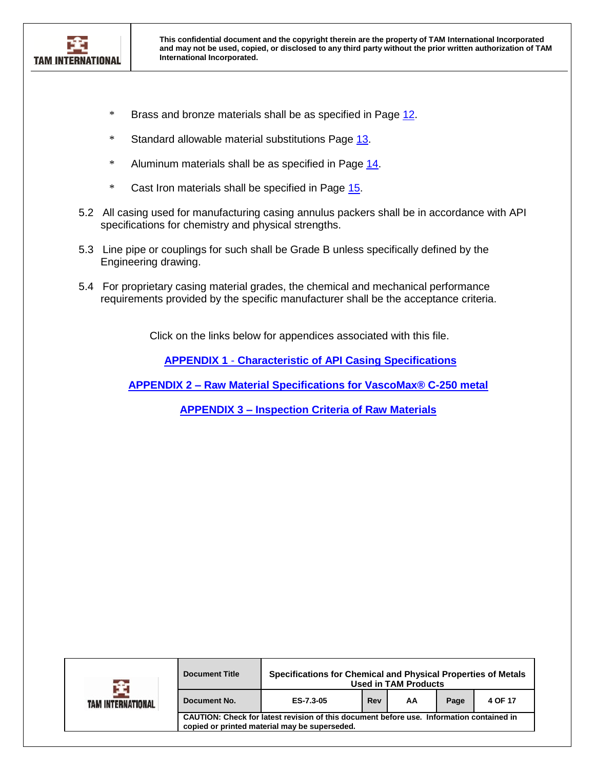

- \* Brass and bronze materials shall be as specified in Page [12.](file:///C:/Users/gregory.fletcher/AppData/Local/Microsoft/Windows/INetCache/Content.Outlook/UL5UEG22/ES-7.3-05%20Specifications%20for%20Chemical%20and%20Physical%20Properties%20of%20Metals%20Used%20in%20TAM%20Products%20Rev%20AA.docx%23BrassOrBronze)
- \* Standard allowable material substitutions Page [13.](file:///C:/Users/gregory.fletcher/AppData/Local/Microsoft/Windows/INetCache/Content.Outlook/UL5UEG22/ES-7.3-05%20Specifications%20for%20Chemical%20and%20Physical%20Properties%20of%20Metals%20Used%20in%20TAM%20Products%20Rev%20AA.docx%23StandardAllowable)
- \* Aluminum materials shall be as specified in Page [14.](file:///C:/Users/gregory.fletcher/AppData/Local/Microsoft/Windows/INetCache/Content.Outlook/UL5UEG22/ES-7.3-05%20Specifications%20for%20Chemical%20and%20Physical%20Properties%20of%20Metals%20Used%20in%20TAM%20Products%20Rev%20AA.docx%23Aluminum)
- \* Cast Iron materials shall be specified in Page [15.](file:///C:/Users/gregory.fletcher/AppData/Local/Microsoft/Windows/INetCache/Content.Outlook/UL5UEG22/ES-7.3-05%20Specifications%20for%20Chemical%20and%20Physical%20Properties%20of%20Metals%20Used%20in%20TAM%20Products%20Rev%20AA.docx%23CastIron)
- 5.2 All casing used for manufacturing casing annulus packers shall be in accordance with API specifications for chemistry and physical strengths.
- 5.3 Line pipe or couplings for such shall be Grade B unless specifically defined by the Engineering drawing.
- 5.4 For proprietary casing material grades, the chemical and mechanical performance requirements provided by the specific manufacturer shall be the acceptance criteria.

Click on the links below for appendices associated with this file.

**APPENDIX 1** - **[Characteristic of API Casing Specifications](#page-16-0)**

**APPENDIX 2 – [Raw Material Specifications for VascoMax® C-250 metal](../../Instructions%20&%20Specifications/ES-7.3-05%20Appendix%202%20Raw%20Material%20Specifications%20for%20VascoMax%20C-250%20Metal%20Rev%20B.docx)**

**APPENDIX 3 – [Inspection Criteria of Raw Materials](../../Instructions%20&%20Specifications/ES-7.3-05%20Appendix%203%20%20Inspection%20Criteria%20of%20Raw%20Materials%20Rev%20A.doc)**

| TAM INTERNATIONAL | <b>Document Title</b>                                                                                                                     | Specifications for Chemical and Physical Properties of Metals<br><b>Used in TAM Products</b> |  |  |  |  |  |  |  |
|-------------------|-------------------------------------------------------------------------------------------------------------------------------------------|----------------------------------------------------------------------------------------------|--|--|--|--|--|--|--|
|                   | Document No.                                                                                                                              | 4 OF 17<br>ES-7.3-05<br>Rev<br>AA<br>Page                                                    |  |  |  |  |  |  |  |
|                   | CAUTION: Check for latest revision of this document before use. Information contained in<br>copied or printed material may be superseded. |                                                                                              |  |  |  |  |  |  |  |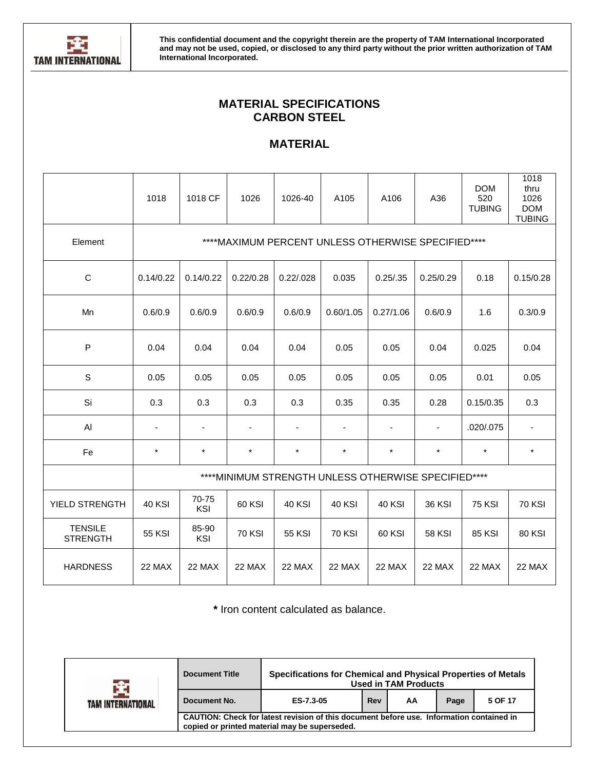

# **MATERIAL SPECIFICATIONS CARBON STEEL**

# **MATERIAL**

|                                   | 1018           | 1018 CF      | 1026                     | 1026-40        | A105          | A106                                                 | A36            | <b>DOM</b><br>520<br><b>TUBING</b> | 1018<br>thru<br>1026<br><b>DOM</b><br><b>TUBING</b> |
|-----------------------------------|----------------|--------------|--------------------------|----------------|---------------|------------------------------------------------------|----------------|------------------------------------|-----------------------------------------------------|
| Element                           |                |              |                          |                |               | ****MAXIMUM PERCENT UNLESS OTHERWISE SPECIFIED****   |                |                                    |                                                     |
| C                                 | 0.14/0.22      | 0.14/0.22    | 0.22/0.28                | 0.22/0.028     | 0.035         | 0.25/0.35                                            | 0.25/0.29      | 0.18                               | 0.15/0.28                                           |
| Mn                                | 0.6/0.9        | 0.6/0.9      | 0.6/0.9                  | 0.6/0.9        | 0.60/1.05     | 0.27/1.06                                            | 0.6/0.9        | 1.6                                | 0.3/0.9                                             |
| P                                 | 0.04           | 0.04         | 0.04                     | 0.04           | 0.05          | 0.05                                                 | 0.04           | 0.025                              | 0.04                                                |
| S                                 | 0.05           | 0.05         | 0.05                     | 0.05           | 0.05          | 0.05                                                 | 0.05           | 0.01                               | 0.05                                                |
| Si                                | 0.3            | 0.3          | 0.3                      | 0.3            | 0.35          | 0.35                                                 | 0.28           | 0.15/0.35                          | 0.3                                                 |
| AI                                | $\blacksquare$ | ä,           | $\overline{\phantom{a}}$ | $\blacksquare$ |               | ä,                                                   | $\blacksquare$ | .020/.075                          | $\blacksquare$                                      |
| Fe                                | $\star$        | $\star$      | $\star$                  | $\star$        | $\star$       | $\star$                                              | $\star$        | $\star$                            | $\star$                                             |
|                                   |                |              |                          |                |               | **** MINIMUM STRENGTH UNLESS OTHERWISE SPECIFIED**** |                |                                    |                                                     |
| YIELD STRENGTH                    | <b>40 KSI</b>  | 70-75<br>KSI | 60 KSI                   | <b>40 KSI</b>  | <b>40 KSI</b> | <b>40 KSI</b>                                        | <b>36 KSI</b>  | <b>75 KSI</b>                      | <b>70 KSI</b>                                       |
| <b>TENSILE</b><br><b>STRENGTH</b> | <b>55 KSI</b>  | 85-90<br>KSI | <b>70 KSI</b>            | <b>55 KSI</b>  | <b>70 KSI</b> | 60 KSI                                               | <b>58 KSI</b>  | <b>85 KSI</b>                      | <b>80 KSI</b>                                       |
| <b>HARDNESS</b>                   | 22 MAX         | 22 MAX       | 22 MAX                   | 22 MAX         | 22 MAX        | 22 MAX                                               | 22 MAX         | 22 MAX                             | 22 MAX                                              |

**\*** Iron content calculated as balance.

| TAM INTERNATIONAL | <b>Document Title</b>                                                                                                                     | Specifications for Chemical and Physical Properties of Metals<br><b>Used in TAM Products</b> |  |  |  |  |  |  |  |
|-------------------|-------------------------------------------------------------------------------------------------------------------------------------------|----------------------------------------------------------------------------------------------|--|--|--|--|--|--|--|
|                   | Document No.                                                                                                                              | Rev<br>ES-7.3-05<br>Page<br>5 OF 17<br>AA                                                    |  |  |  |  |  |  |  |
|                   | CAUTION: Check for latest revision of this document before use. Information contained in<br>copied or printed material may be superseded. |                                                                                              |  |  |  |  |  |  |  |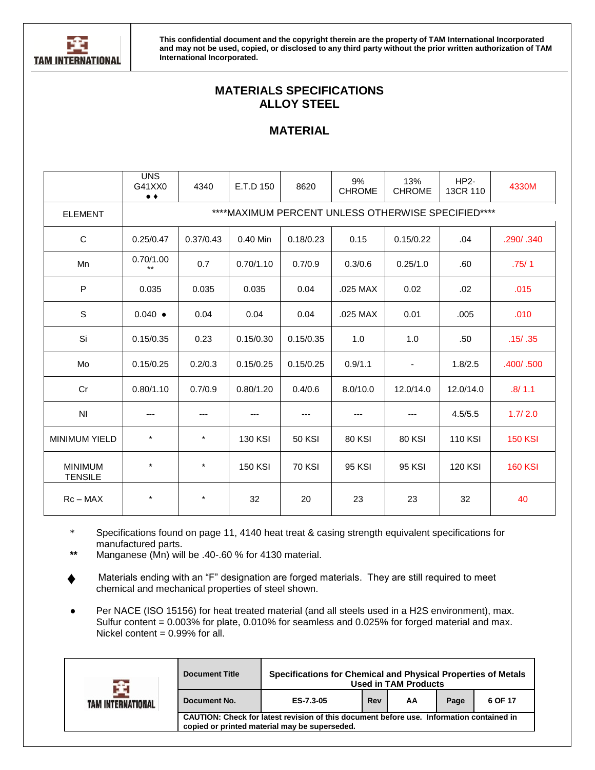

# **MATERIALS SPECIFICATIONS ALLOY STEEL**

# **MATERIAL**

|                                  | <b>UNS</b><br>G41XX0<br>$\bullet$ $\bullet$ | 4340                                               | E.T.D 150      | 8620          | 9%<br><b>CHROME</b> | 13%<br><b>CHROME</b> | $HP2-$<br>13CR 110 | 4330M          |  |  |  |
|----------------------------------|---------------------------------------------|----------------------------------------------------|----------------|---------------|---------------------|----------------------|--------------------|----------------|--|--|--|
| <b>ELEMENT</b>                   |                                             | ****MAXIMUM PERCENT UNLESS OTHERWISE SPECIFIED**** |                |               |                     |                      |                    |                |  |  |  |
| $\mathbf C$                      | 0.25/0.47                                   | 0.37/0.43                                          | 0.40 Min       | 0.18/0.23     | 0.15                | 0.15/0.22            | .04                | .290/.340      |  |  |  |
| Mn                               | 0.70/1.00<br>$**$                           | 0.7                                                | 0.70/1.10      | 0.7/0.9       | 0.3/0.6             | 0.25/1.0             | .60                | .75/1          |  |  |  |
| P                                | 0.035                                       | 0.035                                              | 0.035          | 0.04          | .025 MAX            | 0.02                 | .02                | .015           |  |  |  |
| $\mathbb S$                      | $0.040 \bullet$                             | 0.04                                               | 0.04           | 0.04          | .025 MAX            | 0.01                 | .005               | .010           |  |  |  |
| Si                               | 0.15/0.35                                   | 0.23                                               | 0.15/0.30      | 0.15/0.35     | 1.0                 | 1.0                  | .50                | .15/ .35       |  |  |  |
| Mo                               | 0.15/0.25                                   | 0.2/0.3                                            | 0.15/0.25      | 0.15/0.25     | 0.9/1.1             | $\blacksquare$       | 1.8/2.5            | .400/.500      |  |  |  |
| Cr                               | 0.80/1.10                                   | 0.7/0.9                                            | 0.80/1.20      | 0.4/0.6       | 8.0/10.0            | 12.0/14.0            | 12.0/14.0          | .8/1.1         |  |  |  |
| N <sub>l</sub>                   | ---                                         | ---                                                |                | ---           |                     | ---                  | 4.5/5.5            | 1.7/2.0        |  |  |  |
| <b>MINIMUM YIELD</b>             | $^\star$                                    | $\star$                                            | <b>130 KSI</b> | <b>50 KSI</b> | <b>80 KSI</b>       | <b>80 KSI</b>        | <b>110 KSI</b>     | <b>150 KSI</b> |  |  |  |
| <b>MINIMUM</b><br><b>TENSILE</b> | $\star$                                     | $\star$                                            | <b>150 KSI</b> | <b>70 KSI</b> | 95 KSI              | <b>95 KSI</b>        | <b>120 KSI</b>     | <b>160 KSI</b> |  |  |  |
| $Rc - MAX$                       | $^\star$                                    | $\star$                                            | 32             | 20            | 23                  | 23                   | 32                 | 40             |  |  |  |

\* Specifications found on page 11, 4140 heat treat & casing strength equivalent specifications for manufactured parts.

**\*\*** Manganese (Mn) will be .40-.60 % for 4130 material.

- Materials ending with an "F" designation are forged materials. They are still required to meet chemical and mechanical properties of steel shown. **♦**
- Per NACE (ISO 15156) for heat treated material (and all steels used in a H2S environment), max. Sulfur content = 0.003% for plate, 0.010% for seamless and 0.025% for forged material and max. Nickel content =  $0.99\%$  for all.

| TAM INTERNATIONAL | Specifications for Chemical and Physical Properties of Metals<br><b>Document Title</b><br><b>Used in TAM Products</b>                     |                                           |  |  |  |  |  |  |  |
|-------------------|-------------------------------------------------------------------------------------------------------------------------------------------|-------------------------------------------|--|--|--|--|--|--|--|
|                   | Document No.                                                                                                                              | Rev<br>Page<br>6 OF 17<br>ES-7.3-05<br>ΑA |  |  |  |  |  |  |  |
|                   | CAUTION: Check for latest revision of this document before use. Information contained in<br>copied or printed material may be superseded. |                                           |  |  |  |  |  |  |  |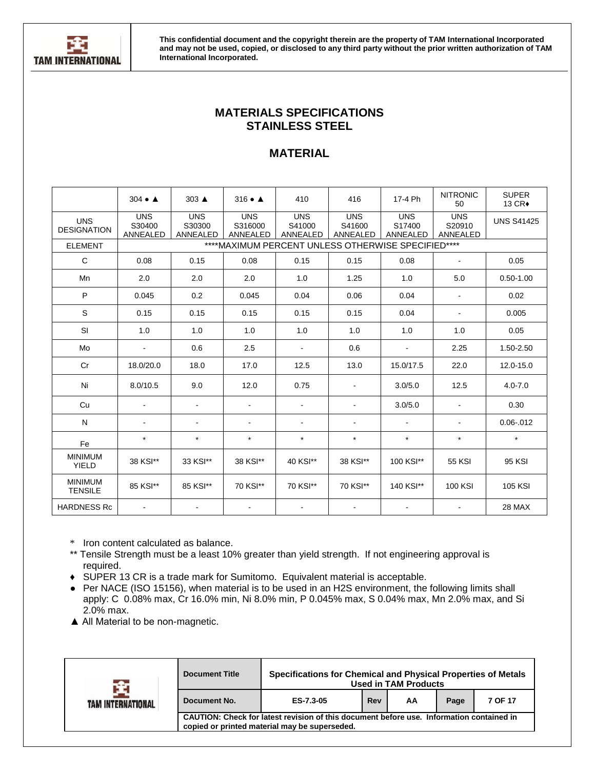

## **MATERIALS SPECIFICATIONS STAINLESS STEEL**

## **MATERIAL**

|                                  | $304 \bullet A$                  | $303 \triangle$                                     | $316 \bullet A$                   | 410                              | 416                              | 17-4 Ph                          | <b>NITRONIC</b><br>50            | <b>SUPER</b><br>13 CR+ |  |  |  |
|----------------------------------|----------------------------------|-----------------------------------------------------|-----------------------------------|----------------------------------|----------------------------------|----------------------------------|----------------------------------|------------------------|--|--|--|
| <b>UNS</b><br><b>DESIGNATION</b> | <b>UNS</b><br>S30400<br>ANNEALED | <b>UNS</b><br>S30300<br>ANNEALED                    | <b>UNS</b><br>S316000<br>ANNEALED | <b>UNS</b><br>S41000<br>ANNEALED | <b>UNS</b><br>S41600<br>ANNEALED | <b>UNS</b><br>S17400<br>ANNEALED | <b>UNS</b><br>S20910<br>ANNEALED | <b>UNS S41425</b>      |  |  |  |
| <b>ELEMENT</b>                   |                                  | **** MAXIMUM PERCENT UNLESS OTHERWISE SPECIFIED**** |                                   |                                  |                                  |                                  |                                  |                        |  |  |  |
| $\mathsf{C}$                     | 0.08                             | 0.15                                                | 0.08                              | 0.15                             | 0.15                             | 0.08                             | $\blacksquare$                   | 0.05                   |  |  |  |
| Mn                               | 2.0                              | 2.0                                                 | 2.0                               | 1.0                              | 1.25                             | 1.0                              | 5.0                              | $0.50 - 1.00$          |  |  |  |
| P                                | 0.045                            | 0.2                                                 | 0.045                             | 0.04                             | 0.06                             | 0.04                             |                                  | 0.02                   |  |  |  |
| S                                | 0.15                             | 0.15                                                | 0.15                              | 0.15                             | 0.15                             | 0.04                             | $\blacksquare$                   | 0.005                  |  |  |  |
| SI                               | 1.0                              | 1.0                                                 | 1.0                               | 1.0                              | 1.0                              | 1.0                              | 1.0                              | 0.05                   |  |  |  |
| Mo                               | $\overline{a}$                   | 0.6                                                 | 2.5                               |                                  | 0.6                              |                                  | 2.25                             | 1.50-2.50              |  |  |  |
| Cr                               | 18.0/20.0                        | 18.0                                                | 17.0                              | 12.5                             | 13.0                             | 15.0/17.5                        | 22.0                             | 12.0-15.0              |  |  |  |
| Ni                               | 8.0/10.5                         | 9.0                                                 | 12.0                              | 0.75                             |                                  | 3.0/5.0                          | 12.5                             | $4.0 - 7.0$            |  |  |  |
| Cu                               |                                  |                                                     | ٠                                 |                                  |                                  | 3.0/5.0                          |                                  | 0.30                   |  |  |  |
| $\mathsf{N}$                     | ٠                                | $\blacksquare$                                      | ٠                                 |                                  |                                  | $\overline{\phantom{a}}$         |                                  | $0.06 - 012$           |  |  |  |
| Fe                               | $\star$                          | $\star$                                             | $\star$                           | $\star$                          | $\star$                          | $\star$                          | $\star$                          | $\star$                |  |  |  |
| <b>MINIMUM</b><br><b>YIELD</b>   | 38 KSI**                         | 33 KSI**                                            | 38 KSI**                          | 40 KSI**                         | 38 KSI**                         | 100 KSI**                        | <b>55 KSI</b>                    | 95 KSI                 |  |  |  |
| <b>MINIMUM</b><br><b>TENSILE</b> | 85 KSI**                         | 85 KSI**                                            | 70 KSI**                          | 70 KSI**                         | 70 KSI**                         | 140 KSI**                        | 100 KSI                          | <b>105 KSI</b>         |  |  |  |
| <b>HARDNESS Rc</b>               |                                  |                                                     |                                   |                                  |                                  |                                  |                                  | 28 MAX                 |  |  |  |

\* Iron content calculated as balance.

- \*\* Tensile Strength must be a least 10% greater than yield strength. If not engineering approval is required.
- **♦** SUPER 13 CR is a trade mark for Sumitomo. Equivalent material is acceptable.
- Per NACE (ISO 15156), when material is to be used in an H2S environment, the following limits shall apply: C 0.08% max, Cr 16.0% min, Ni 8.0% min, P 0.045% max, S 0.04% max, Mn 2.0% max, and Si 2.0% max.
- ▲ All Material to be non-magnetic.

| TAM INTERNATIONAL | <b>Document Title</b>                                                                                                                     | Specifications for Chemical and Physical Properties of Metals<br><b>Used in TAM Products</b> |  |  |  |  |  |  |  |
|-------------------|-------------------------------------------------------------------------------------------------------------------------------------------|----------------------------------------------------------------------------------------------|--|--|--|--|--|--|--|
|                   | Document No.                                                                                                                              | Rev<br>7 OF 17<br>ES-7.3-05<br>Page<br>AA                                                    |  |  |  |  |  |  |  |
|                   | CAUTION: Check for latest revision of this document before use. Information contained in<br>copied or printed material may be superseded. |                                                                                              |  |  |  |  |  |  |  |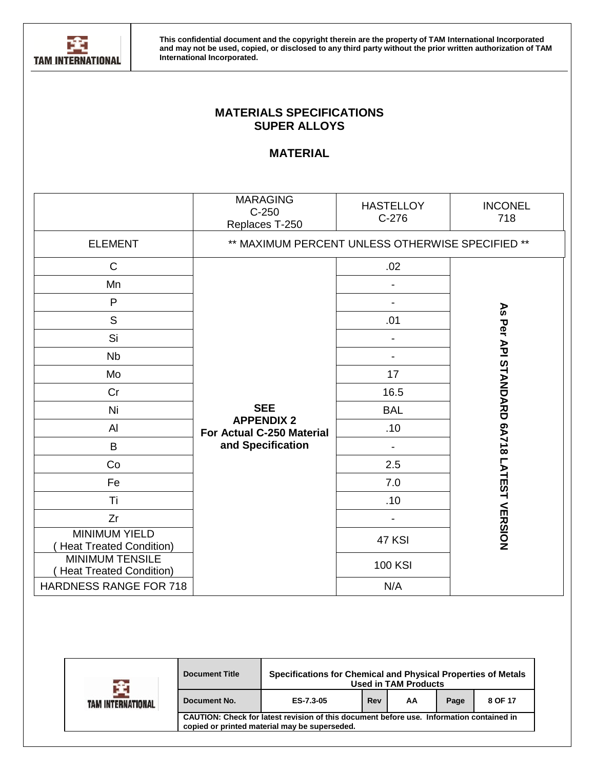

# **MATERIALS SPECIFICATIONS SUPER ALLOYS**

## **MATERIAL**

|                                                          | <b>MARAGING</b><br>$C-250$<br>Replaces T-250     | <b>HASTELLOY</b><br>$C-276$ | <b>INCONEL</b><br>718                            |  |  |  |  |
|----------------------------------------------------------|--------------------------------------------------|-----------------------------|--------------------------------------------------|--|--|--|--|
| <b>ELEMENT</b>                                           | ** MAXIMUM PERCENT UNLESS OTHERWISE SPECIFIED ** |                             |                                                  |  |  |  |  |
| $\mathsf C$                                              |                                                  | .02                         |                                                  |  |  |  |  |
| Mn                                                       |                                                  |                             |                                                  |  |  |  |  |
| P                                                        |                                                  |                             |                                                  |  |  |  |  |
| $\mathsf S$                                              |                                                  | .01                         |                                                  |  |  |  |  |
| Si                                                       |                                                  |                             |                                                  |  |  |  |  |
| <b>Nb</b>                                                |                                                  |                             |                                                  |  |  |  |  |
| Mo                                                       | 17<br>16.5                                       |                             |                                                  |  |  |  |  |
| Cr                                                       |                                                  |                             |                                                  |  |  |  |  |
| Ni                                                       | <b>SEE</b>                                       | <b>BAL</b>                  |                                                  |  |  |  |  |
| Al                                                       | <b>APPENDIX 2</b><br>For Actual C-250 Material   | .10                         |                                                  |  |  |  |  |
| B                                                        | and Specification                                |                             |                                                  |  |  |  |  |
| Co                                                       |                                                  | 2.5                         |                                                  |  |  |  |  |
| Fe                                                       |                                                  | 7.0                         |                                                  |  |  |  |  |
| Ti                                                       |                                                  | .10                         |                                                  |  |  |  |  |
| Zr                                                       |                                                  |                             |                                                  |  |  |  |  |
| <b>MINIMUM YIELD</b><br><b>Heat Treated Condition)</b>   |                                                  | 47 KSI                      | <b>AS Per API STANDORAD 6A718 LATESH VERSION</b> |  |  |  |  |
| <b>MINIMUM TENSILE</b><br><b>Heat Treated Condition)</b> |                                                  | <b>100 KSI</b>              |                                                  |  |  |  |  |
| HARDNESS RANGE FOR 718                                   |                                                  | N/A                         |                                                  |  |  |  |  |

| TAM INTERNATIONAL | <b>Document Title</b>                                                                                                                     | Specifications for Chemical and Physical Properties of Metals<br><b>Used in TAM Products</b> |     |    |      |         |  |  |
|-------------------|-------------------------------------------------------------------------------------------------------------------------------------------|----------------------------------------------------------------------------------------------|-----|----|------|---------|--|--|
|                   | Document No.                                                                                                                              | ES-7.3-05                                                                                    | Rev | AA | Page | 8 OF 17 |  |  |
|                   | CAUTION: Check for latest revision of this document before use. Information contained in<br>copied or printed material may be superseded. |                                                                                              |     |    |      |         |  |  |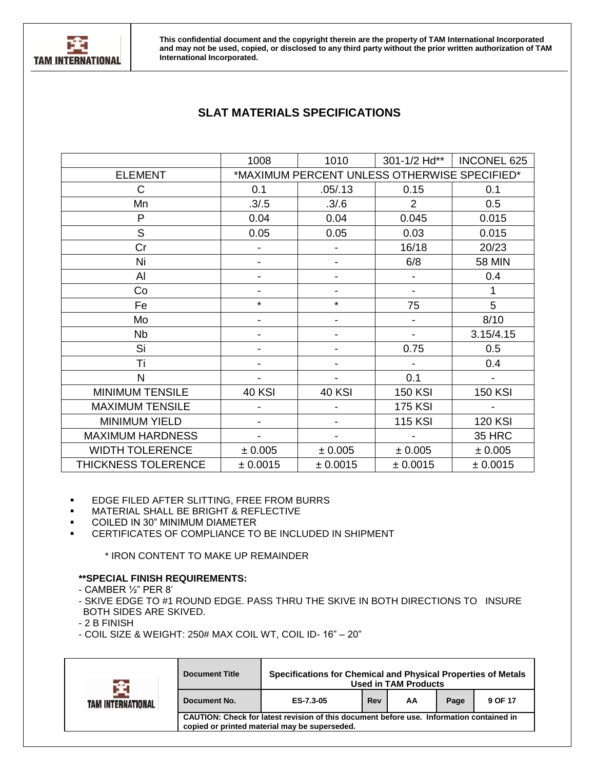

# **SLAT MATERIALS SPECIFICATIONS**

|                         | 1008          | 1010                                         | 301-1/2 Hd**   | <b>INCONEL 625</b> |
|-------------------------|---------------|----------------------------------------------|----------------|--------------------|
| <b>ELEMENT</b>          |               | *MAXIMUM PERCENT UNLESS OTHERWISE SPECIFIED* |                |                    |
| $\mathsf{C}$            | 0.1           | .05/0.13                                     | 0.15           | 0.1                |
| Mn                      | .3/.5         | .3/6                                         | $\overline{2}$ | 0.5                |
| P                       | 0.04          | 0.04                                         | 0.045          | 0.015              |
| S                       | 0.05          | 0.05                                         | 0.03           | 0.015              |
| Cr                      |               |                                              | 16/18          | 20/23              |
| Ni                      |               |                                              | 6/8            | <b>58 MIN</b>      |
| Al                      |               |                                              |                | 0.4                |
| Co                      |               |                                              | $\overline{a}$ | 1                  |
| Fe                      | $\star$       | $\star$                                      | 75             | 5                  |
| Mo                      |               |                                              |                | 8/10               |
| <b>Nb</b>               |               |                                              |                | 3.15/4.15          |
| Si                      |               | -                                            | 0.75           | 0.5                |
| Τi                      |               |                                              |                | 0.4                |
| N                       |               |                                              | 0.1            |                    |
| <b>MINIMUM TENSILE</b>  | <b>40 KSI</b> | <b>40 KSI</b>                                | <b>150 KSI</b> | <b>150 KSI</b>     |
| <b>MAXIMUM TENSILE</b>  |               |                                              | <b>175 KSI</b> |                    |
| <b>MINIMUM YIELD</b>    |               |                                              | <b>115 KSI</b> | <b>120 KSI</b>     |
| <b>MAXIMUM HARDNESS</b> |               | $\overline{\phantom{a}}$                     |                | 35 HRC             |
| <b>WIDTH TOLERENCE</b>  | ± 0.005       | ± 0.005                                      | ± 0.005        | ± 0.005            |
| THICKNESS TOLERENCE     | ± 0.0015      | ± 0.0015                                     | ± 0.0015       | ± 0.0015           |

#### ▪ EDGE FILED AFTER SLITTING, FREE FROM BURRS

- MATERIAL SHALL BE BRIGHT & REFLECTIVE
- COILED IN 30" MINIMUM DIAMETER
- CERTIFICATES OF COMPLIANCE TO BE INCLUDED IN SHIPMENT

\* IRON CONTENT TO MAKE UP REMAINDER

#### **\*\*SPECIAL FINISH REQUIREMENTS:**

- CAMBER ½" PER 8'
- SKIVE EDGE TO #1 ROUND EDGE. PASS THRU THE SKIVE IN BOTH DIRECTIONS TO INSURE BOTH SIDES ARE SKIVED.
- 2 B FINISH
- COIL SIZE & WEIGHT: 250# MAX COIL WT, COIL ID- 16" 20"

| TAM INTERNATIONAL | <b>Document Title</b>                                                                                                                     |           | Specifications for Chemical and Physical Properties of Metals<br><b>Used in TAM Products</b> |    |      |         |  |  |
|-------------------|-------------------------------------------------------------------------------------------------------------------------------------------|-----------|----------------------------------------------------------------------------------------------|----|------|---------|--|--|
|                   | Document No.                                                                                                                              | ES-7.3-05 | Rev                                                                                          | ΑA | Page | 9 OF 17 |  |  |
|                   | CAUTION: Check for latest revision of this document before use. Information contained in<br>copied or printed material may be superseded. |           |                                                                                              |    |      |         |  |  |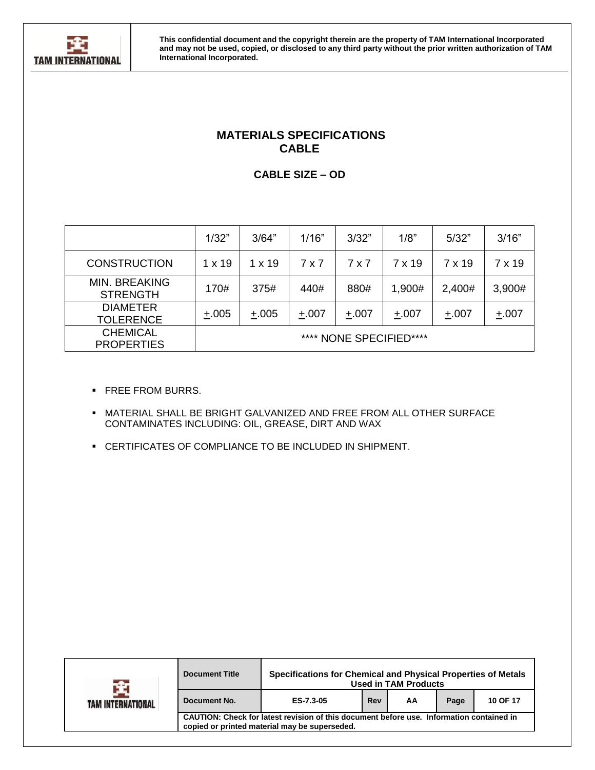

## **MATERIALS SPECIFICATIONS CABLE**

**CABLE SIZE – OD**

|                                         | 1/32"                   | 3/64"   | 1/16"   | 3/32"   | 1/8"   | 5/32"  | 3/16"  |  |
|-----------------------------------------|-------------------------|---------|---------|---------|--------|--------|--------|--|
| <b>CONSTRUCTION</b>                     | $1 \times 19$           | 1 x 19  | 7 x 7   | 7 x 7   | 7 x 19 | 7 x 19 | 7 x 19 |  |
| <b>MIN. BREAKING</b><br><b>STRENGTH</b> | 170#                    | 375#    | 440#    | 880#    | 1,900# | 2,400# | 3,900# |  |
| <b>DIAMETER</b><br><b>TOLERENCE</b>     | $+.005$                 | $+.005$ | $+.007$ | $+.007$ | ±.007  | ±.007  | ±.007  |  |
| <b>CHEMICAL</b><br><b>PROPERTIES</b>    | **** NONE SPECIFIED**** |         |         |         |        |        |        |  |

- **· FREE FROM BURRS.**
- **.** MATERIAL SHALL BE BRIGHT GALVANIZED AND FREE FROM ALL OTHER SURFACE CONTAMINATES INCLUDING: OIL, GREASE, DIRT AND WAX
- CERTIFICATES OF COMPLIANCE TO BE INCLUDED IN SHIPMENT.

|                   | <b>Document Title</b>                                                                                                                     | Specifications for Chemical and Physical Properties of Metals |     | <b>Used in TAM Products</b> |      |          |
|-------------------|-------------------------------------------------------------------------------------------------------------------------------------------|---------------------------------------------------------------|-----|-----------------------------|------|----------|
| TAM INTERNATIONAL | Document No.                                                                                                                              | ES-7.3-05                                                     | Rev | ΑA                          | Page | 10 OF 17 |
|                   | CAUTION: Check for latest revision of this document before use. Information contained in<br>copied or printed material may be superseded. |                                                               |     |                             |      |          |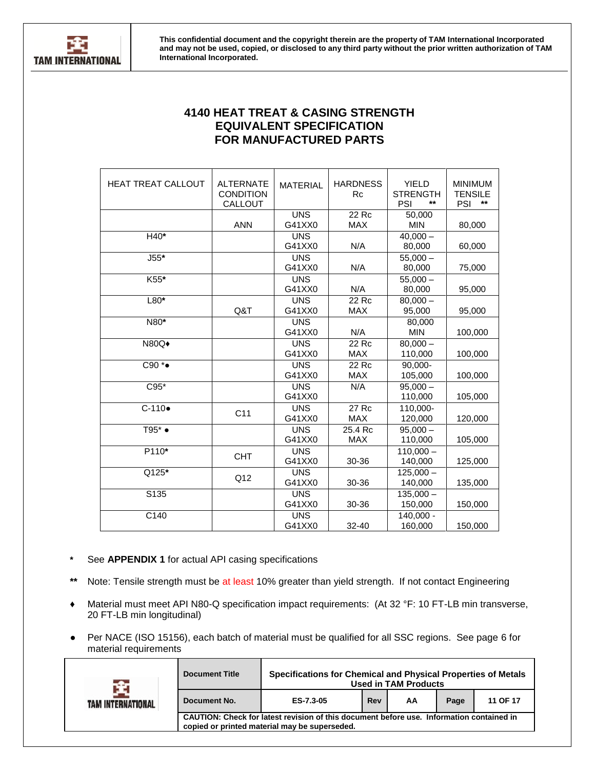

## **4140 HEAT TREAT & CASING STRENGTH EQUIVALENT SPECIFICATION FOR MANUFACTURED PARTS**

| <b>HEAT TREAT CALLOUT</b> | <b>ALTERNATE</b><br><b>CONDITION</b><br>CALLOUT | <b>MATERIAL</b>      | <b>HARDNESS</b><br><b>Rc</b> | <b>YIELD</b><br><b>STRENGTH</b><br>**<br>PSI | <b>MINIMUM</b><br><b>TENSILE</b><br>**<br>PSI |
|---------------------------|-------------------------------------------------|----------------------|------------------------------|----------------------------------------------|-----------------------------------------------|
|                           | <b>ANN</b>                                      | <b>UNS</b><br>G41XX0 | 22 Rc<br><b>MAX</b>          | 50,000<br><b>MIN</b>                         | 80,000                                        |
| H40*                      |                                                 | <b>UNS</b><br>G41XX0 | N/A                          | $40,000 -$<br>80,000                         | 60,000                                        |
| $J55*$                    |                                                 | <b>UNS</b><br>G41XX0 | N/A                          | $55,000 -$<br>80,000                         | 75,000                                        |
| K55*                      |                                                 | <b>UNS</b><br>G41XX0 | N/A                          | $55,000 -$<br>80,000                         | 95,000                                        |
| $L80*$                    | Q&T                                             | <b>UNS</b><br>G41XX0 | 22 Rc<br><b>MAX</b>          | $80.000 -$<br>95,000                         | 95,000                                        |
| N80*                      |                                                 | <b>UNS</b><br>G41XX0 | N/A                          | 80.000<br><b>MIN</b>                         | 100,000                                       |
| N80Q <sup>+</sup>         |                                                 | <b>UNS</b><br>G41XX0 | 22 Rc<br><b>MAX</b>          | $80.000 -$<br>110,000                        | 100,000                                       |
| C90 *●                    |                                                 | <b>UNS</b><br>G41XX0 | $22$ Rc<br><b>MAX</b>        | 90,000-<br>105,000                           | 100,000                                       |
| $C95*$                    |                                                 | <b>UNS</b><br>G41XX0 | N/A                          | $95,000 -$<br>110,000                        | 105,000                                       |
| $C-110$                   | C <sub>11</sub>                                 | <b>UNS</b><br>G41XX0 | 27 Rc<br><b>MAX</b>          | 110,000-<br>120,000                          | 120,000                                       |
| $T95^*$ $\bullet$         |                                                 | <b>UNS</b><br>G41XX0 | 25.4 Rc<br><b>MAX</b>        | $95,000 -$<br>110,000                        | 105,000                                       |
| P110*                     | <b>CHT</b>                                      | <b>UNS</b><br>G41XX0 | 30-36                        | $110,000 -$<br>140,000                       | 125,000                                       |
| Q125*                     | Q12                                             | <b>UNS</b><br>G41XX0 | 30-36                        | $125,000 -$<br>140,000                       | 135,000                                       |
| S135                      |                                                 | <b>UNS</b><br>G41XX0 | 30-36                        | $135.000 -$<br>150,000                       | 150,000                                       |
| C140                      |                                                 | <b>UNS</b><br>G41XX0 | $32 - 40$                    | $140,000 -$<br>160,000                       | 150,000                                       |

- See **APPENDIX 1** for actual API casing specifications
- **\*\*** Note: Tensile strength must be at least 10% greater than yield strength. If not contact Engineering
- **♦** Material must meet API N80-Q specification impact requirements: (At 32 °F: 10 FT-LB min transverse, 20 FT-LB min longitudinal)
- Per NACE (ISO 15156), each batch of material must be qualified for all SSC regions. See page 6 for material requirements

| <b>TAM INTERNATIONAL</b> | <b>Document Title</b>                                                                                                                     | Specifications for Chemical and Physical Properties of Metals<br><b>Used in TAM Products</b> |     |    |      |          |  |  |
|--------------------------|-------------------------------------------------------------------------------------------------------------------------------------------|----------------------------------------------------------------------------------------------|-----|----|------|----------|--|--|
|                          | Document No.                                                                                                                              | ES-7.3-05                                                                                    | Rev | АΑ | Page | 11 OF 17 |  |  |
|                          | CAUTION: Check for latest revision of this document before use. Information contained in<br>copied or printed material may be superseded. |                                                                                              |     |    |      |          |  |  |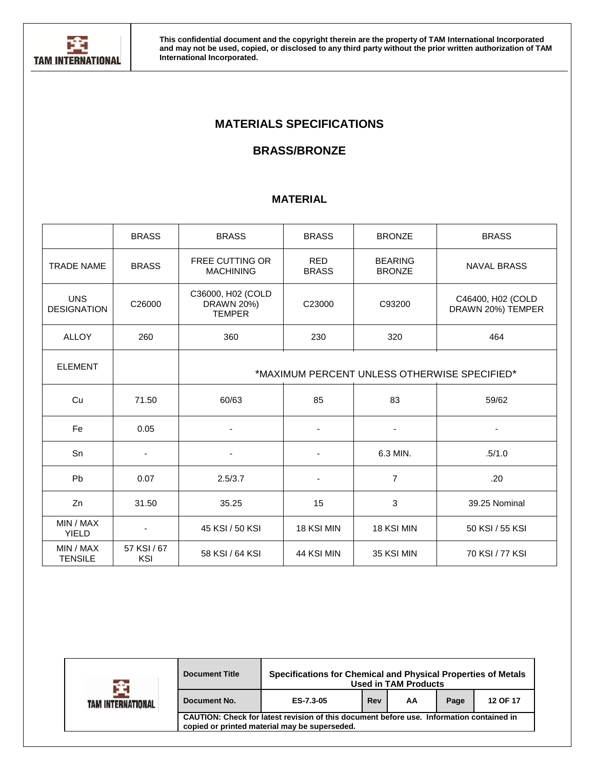

# **MATERIALS SPECIFICATIONS**

# **BRASS/BRONZE**

## **MATERIAL**

|                                  | <b>BRASS</b>                                 | <b>BRASS</b>                                     | <b>BRASS</b>               | <b>BRONZE</b>                   | <b>BRASS</b>                           |  |  |  |  |
|----------------------------------|----------------------------------------------|--------------------------------------------------|----------------------------|---------------------------------|----------------------------------------|--|--|--|--|
| <b>TRADE NAME</b>                | <b>BRASS</b>                                 | FREE CUTTING OR<br><b>MACHINING</b>              | <b>RED</b><br><b>BRASS</b> | <b>BEARING</b><br><b>BRONZE</b> | <b>NAVAL BRASS</b>                     |  |  |  |  |
| <b>UNS</b><br><b>DESIGNATION</b> | C26000                                       | C36000, H02 (COLD<br>DRAWN 20%)<br><b>TEMPER</b> | C23000                     | C93200                          | C46400, H02 (COLD<br>DRAWN 20%) TEMPER |  |  |  |  |
| <b>ALLOY</b>                     | 260                                          | 360                                              | 230                        | 320                             | 464                                    |  |  |  |  |
| <b>ELEMENT</b>                   | *MAXIMUM PERCENT UNLESS OTHERWISE SPECIFIED* |                                                  |                            |                                 |                                        |  |  |  |  |
| Cu                               | 71.50                                        | 60/63                                            | 85                         | 83                              | 59/62                                  |  |  |  |  |
| Fe                               | 0.05                                         |                                                  |                            |                                 |                                        |  |  |  |  |
| Sn                               | $\overline{\phantom{a}}$                     | $\blacksquare$                                   | $\overline{\phantom{a}}$   | 6.3 MIN.                        | .5/1.0                                 |  |  |  |  |
| Pb                               | 0.07                                         | 2.5/3.7                                          | $\overline{\phantom{a}}$   | $\overline{7}$                  | .20                                    |  |  |  |  |
| Zn                               | 31.50                                        | 35.25                                            | 15                         | 3                               | 39.25 Nominal                          |  |  |  |  |
| MIN / MAX<br><b>YIELD</b>        |                                              | 45 KSI / 50 KSI                                  | 18 KSI MIN                 | 18 KSI MIN                      | 50 KSI / 55 KSI                        |  |  |  |  |
| MIN / MAX<br><b>TENSILE</b>      | 57 KSI / 67<br>KSI                           | 58 KSI / 64 KSI                                  | 44 KSI MIN                 | 35 KSI MIN                      | 70 KSI / 77 KSI                        |  |  |  |  |

| TAM INTERNATIONAL | Specifications for Chemical and Physical Properties of Metals<br><b>Document Title</b><br><b>Used in TAM Products</b>                     |           |     |    |      |          |
|-------------------|-------------------------------------------------------------------------------------------------------------------------------------------|-----------|-----|----|------|----------|
|                   | Document No.                                                                                                                              | ES-7.3-05 | Rev | AA | Page | 12 OF 17 |
|                   | CAUTION: Check for latest revision of this document before use. Information contained in<br>copied or printed material may be superseded. |           |     |    |      |          |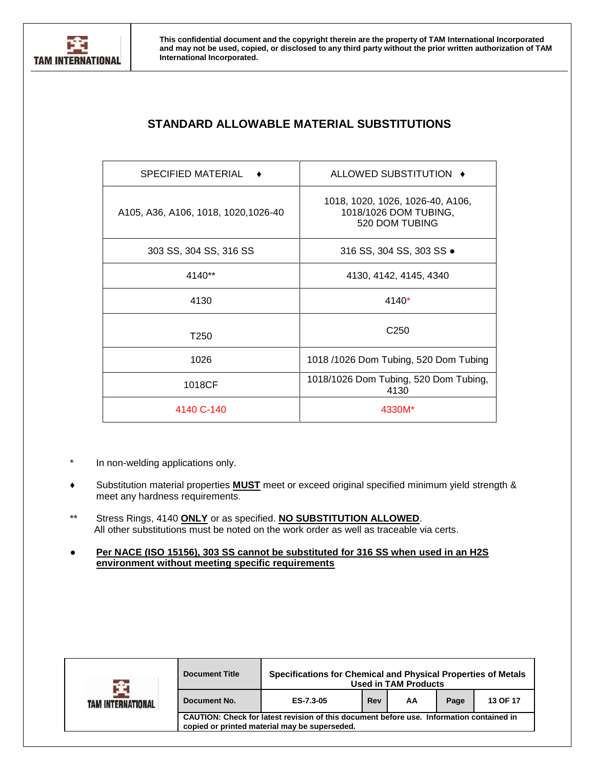

# **STANDARD ALLOWABLE MATERIAL SUBSTITUTIONS**

| <b>SPECIFIED MATERIAL</b>            | ALLOWED SUBSTITUTION ♦                                                      |
|--------------------------------------|-----------------------------------------------------------------------------|
| A105, A36, A106, 1018, 1020, 1026-40 | 1018, 1020, 1026, 1026-40, A106,<br>1018/1026 DOM TUBING,<br>520 DOM TUBING |
| 303 SS, 304 SS, 316 SS               | 316 SS, 304 SS, 303 SS •                                                    |
| 4140**                               | 4130, 4142, 4145, 4340                                                      |
| 4130                                 | 4140*                                                                       |
| T <sub>250</sub>                     | C <sub>250</sub>                                                            |
| 1026                                 | 1018 /1026 Dom Tubing, 520 Dom Tubing                                       |
| 1018CF                               | 1018/1026 Dom Tubing, 520 Dom Tubing,<br>4130                               |
| 4140 C-140                           | 4330M*                                                                      |

- \* In non-welding applications only.
- **♦** Substitution material properties **MUST** meet or exceed original specified minimum yield strength & meet any hardness requirements.
- \*\* Stress Rings, 4140 **ONLY** or as specified. **NO SUBSTITUTION ALLOWED**. All other substitutions must be noted on the work order as well as traceable via certs.
- **Per NACE (ISO 15156), 303 SS cannot be substituted for 316 SS when used in an H2S environment without meeting specific requirements**

|                   | <b>Document Title</b>                                                                                                                     |           |     | Specifications for Chemical and Physical Properties of Metals<br><b>Used in TAM Products</b> |      |          |  |  |
|-------------------|-------------------------------------------------------------------------------------------------------------------------------------------|-----------|-----|----------------------------------------------------------------------------------------------|------|----------|--|--|
| TAM INTERNATIONAL | Document No.                                                                                                                              | ES-7.3-05 | Rev | AA                                                                                           | Page | 13 OF 17 |  |  |
|                   | CAUTION: Check for latest revision of this document before use. Information contained in<br>copied or printed material may be superseded. |           |     |                                                                                              |      |          |  |  |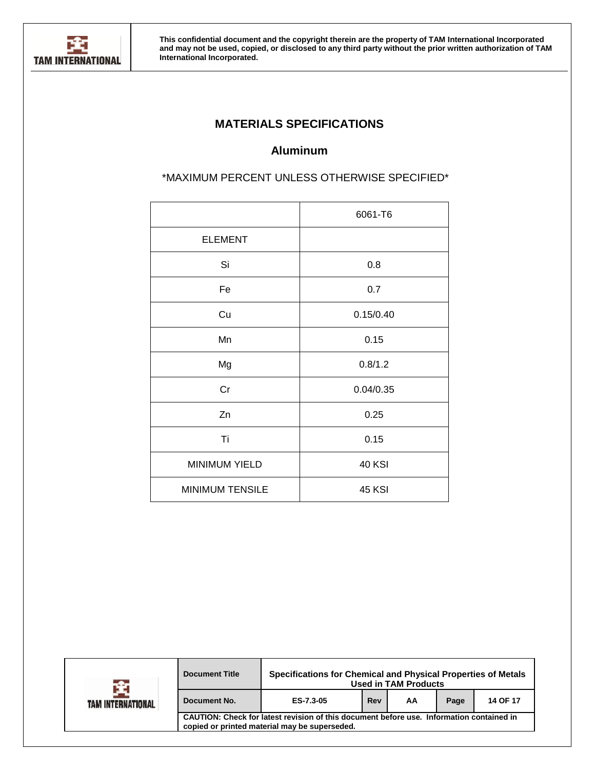

# **MATERIALS SPECIFICATIONS**

# **Aluminum**

\*MAXIMUM PERCENT UNLESS OTHERWISE SPECIFIED\*

|                        | 6061-T6       |
|------------------------|---------------|
| <b>ELEMENT</b>         |               |
| Si                     | 0.8           |
| Fe                     | 0.7           |
| Cu                     | 0.15/0.40     |
| Mn                     | 0.15          |
| Mg                     | 0.8/1.2       |
| Cr                     | 0.04/0.35     |
| Zn                     | 0.25          |
| Ti                     | 0.15          |
| <b>MINIMUM YIELD</b>   | <b>40 KSI</b> |
| <b>MINIMUM TENSILE</b> | <b>45 KSI</b> |
|                        |               |

|                   | <b>Document Title</b>                                                                                                                     | Specifications for Chemical and Physical Properties of Metals |     | <b>Used in TAM Products</b> |      |          |  |  |  |  |  |
|-------------------|-------------------------------------------------------------------------------------------------------------------------------------------|---------------------------------------------------------------|-----|-----------------------------|------|----------|--|--|--|--|--|
| TAM INTERNATIONAL | Document No.                                                                                                                              | ES-7.3-05                                                     | Rev | AA                          | Page | 14 OF 17 |  |  |  |  |  |
|                   | CAUTION: Check for latest revision of this document before use. Information contained in<br>copied or printed material may be superseded. |                                                               |     |                             |      |          |  |  |  |  |  |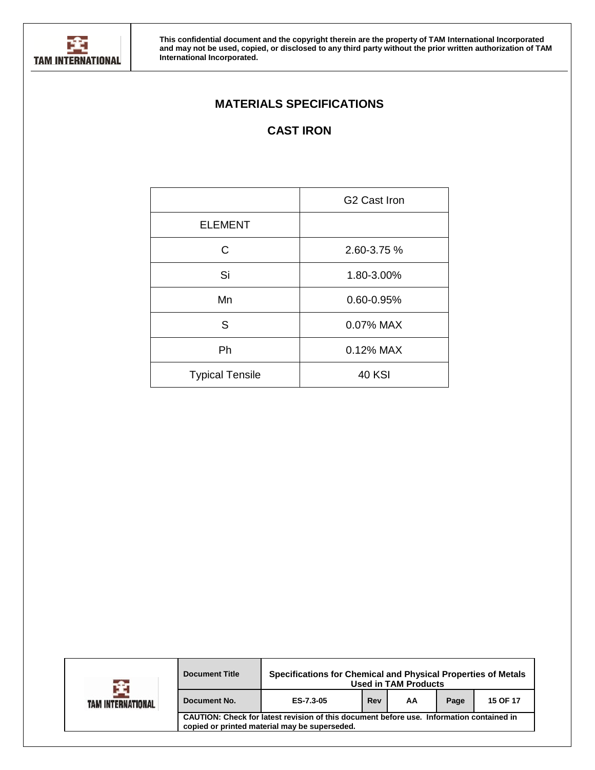

# **MATERIALS SPECIFICATIONS**

# **CAST IRON**

|                        | G <sub>2</sub> Cast Iron |
|------------------------|--------------------------|
| <b>ELEMENT</b>         |                          |
| C                      | 2.60-3.75 %              |
| Si                     | 1.80-3.00%               |
| Mn                     | 0.60-0.95%               |
| S                      | 0.07% MAX                |
| Ph                     | 0.12% MAX                |
| <b>Typical Tensile</b> | <b>40 KSI</b>            |

|                   | <b>Document Title</b>                                                                                                                     | Specifications for Chemical and Physical Properties of Metals<br><b>Used in TAM Products</b> |          |  |  |  |  |  |  |  |  |
|-------------------|-------------------------------------------------------------------------------------------------------------------------------------------|----------------------------------------------------------------------------------------------|----------|--|--|--|--|--|--|--|--|
| TAM INTERNATIONAL | Document No.                                                                                                                              | Page                                                                                         | 15 OF 17 |  |  |  |  |  |  |  |  |
|                   | CAUTION: Check for latest revision of this document before use. Information contained in<br>copied or printed material may be superseded. |                                                                                              |          |  |  |  |  |  |  |  |  |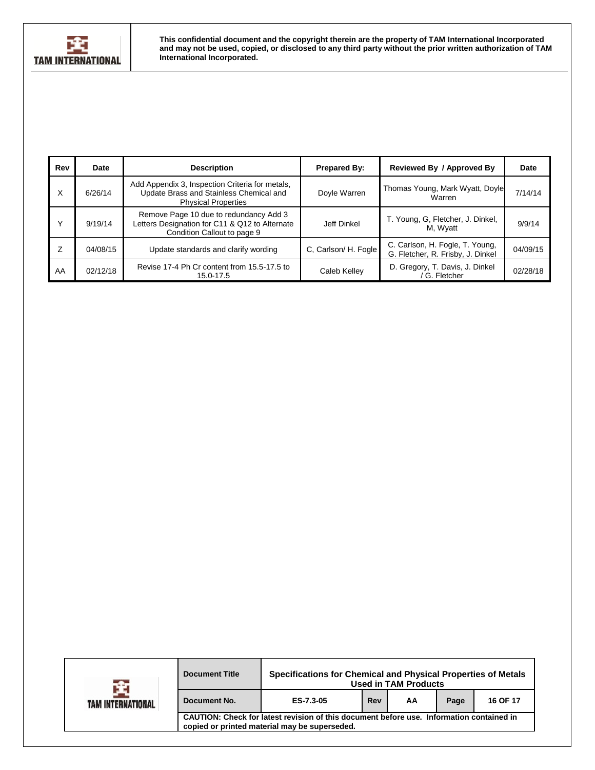

| Rev | Date     | <b>Description</b>                                                                                                       | <b>Prepared By:</b>  | Reviewed By / Approved By                                            | Date     |
|-----|----------|--------------------------------------------------------------------------------------------------------------------------|----------------------|----------------------------------------------------------------------|----------|
| X   | 6/26/14  | Add Appendix 3, Inspection Criteria for metals,<br>Update Brass and Stainless Chemical and<br><b>Physical Properties</b> | Doyle Warren         | Thomas Young, Mark Wyatt, Doyle<br>Warren                            | 7/14/14  |
|     | 9/19/14  | Remove Page 10 due to redundancy Add 3<br>Letters Designation for C11 & Q12 to Alternate<br>Condition Callout to page 9  | Jeff Dinkel          | T. Young, G. Fletcher, J. Dinkel,<br>M, Wyatt                        | 9/9/14   |
|     | 04/08/15 | Update standards and clarify wording                                                                                     | C, Carlson/ H. Fogle | C. Carlson, H. Fogle, T. Young,<br>G. Fletcher, R. Frisby, J. Dinkel | 04/09/15 |
| AA  | 02/12/18 | Revise 17-4 Ph Cr content from 15.5-17.5 to<br>15.0-17.5                                                                 | Caleb Kelley         | D. Gregory, T. Davis, J. Dinkel<br>G. Fletcher                       | 02/28/18 |

|                   | Specifications for Chemical and Physical Properties of Metals<br><b>Document Title</b><br><b>Used in TAM Products</b>                     |           |     |    |      |          |  |  |  |  |  |
|-------------------|-------------------------------------------------------------------------------------------------------------------------------------------|-----------|-----|----|------|----------|--|--|--|--|--|
| TAM INTERNATIONAL | Document No.                                                                                                                              | ES-7.3-05 | Rev | AA | Page | 16 OF 17 |  |  |  |  |  |
|                   | CAUTION: Check for latest revision of this document before use. Information contained in<br>copied or printed material may be superseded. |           |     |    |      |          |  |  |  |  |  |